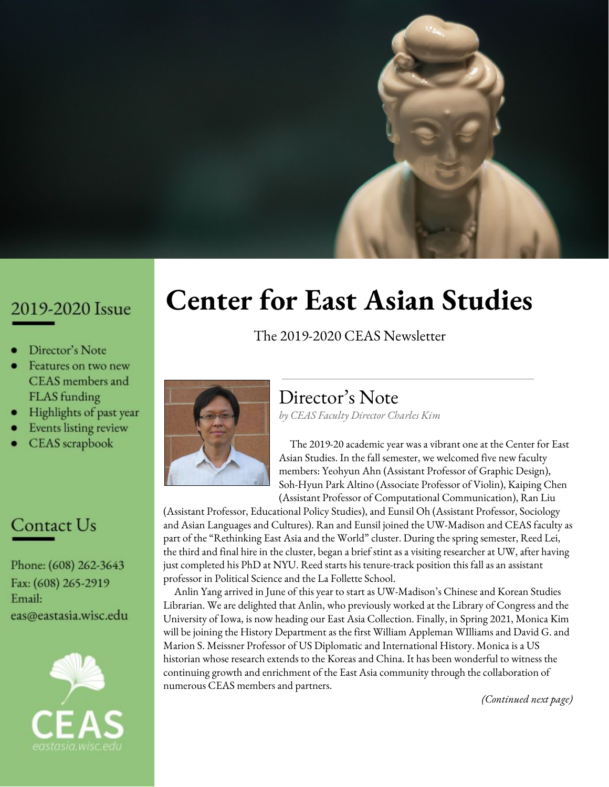

## 2019-2020 Issue

- Director's Note
- Features on two new CEAS members and FLAS funding
- Highlights of past year
- Events listing review
- **CEAS** scrapbook

## Contact Us

Phone: (608) 262-3643 Fax: (608) 265-2919 Email: eas@eastasia.wisc.edu



# **Center for East Asian Studies**

The 2019-2020 CEAS Newsletter



### Director' s Note *by CEAS Faculty Director Charles Kim*

The 2019-20 academic year was a vibrant one at the Center for East Asian Studies. In the fall semester, we welcomed five new faculty members: Yeohyun Ahn (Assistant Professor of Graphic Design), Soh-Hyun Park Altino (Associate Professor of Violin), Kaiping Chen (Assistant Professor of Computational Communication), Ran Liu

(Assistant Professor, Educational Policy Studies), and Eunsil Oh (Assistant Professor, Sociology and Asian Languages and Cultures). Ran and Eunsil joined the UW-Madison and CEAS faculty as part of the "Rethinking East Asia and the World" cluster. During the spring semester, Reed Lei, the third and final hire in the cluster, began a brief stint as a visiting researcher at UW, after having just completed his PhD at NYU. Reed starts his tenure-track position this fall as an assistant professor in Political Science and the La Follette School.

Anlin Yang arrived in June of this year to start as UW-Madison's Chinese and Korean Studies Librarian. We are delighted that Anlin, who previously worked at the Library of Congress and the University of Iowa, is now heading our East Asia Collection. Finally, in Spring 2021, Monica Kim will be joining the History Department as the first William Appleman WIlliams and David G. and Marion S. Meissner Professor of US Diplomatic and International History. Monica is a US historian whose research extends to the Koreas and China. It has been wonderful to witness the continuing growth and enrichment of the East Asia community through the collaboration of numerous CEAS members and partners.

*(Continued next page)*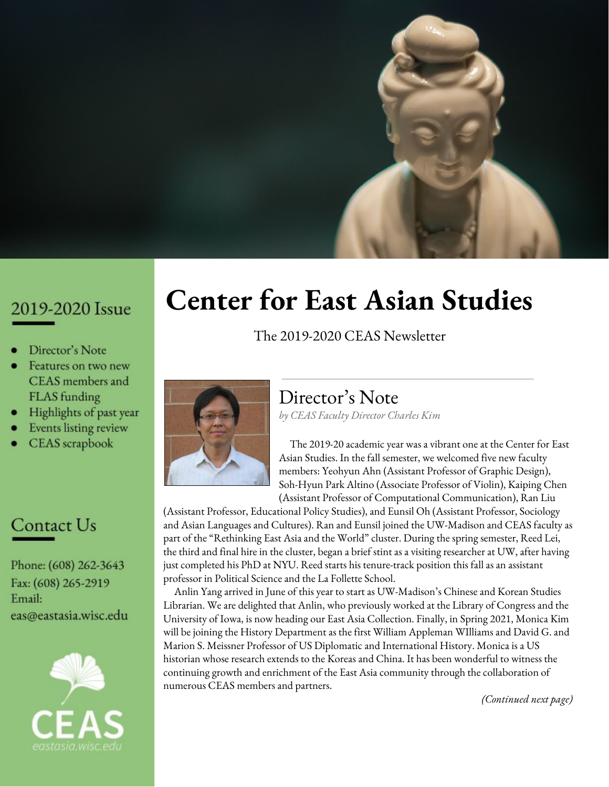*("Director's Note" -- Continued from previous page)* Before the suspension of activities in March, CEAS hosted and co-sponsored a diverse series of informative events that were pertinent to key issues in the East Asia region. Many of these events were part of the Center's regular Tuesday lecture series, while others were part of the growing East Asia Now series, which takes place in Madison and in other parts of the state. 2019-20 also saw the transfer of the TransAsia and the World Podcast to CEAS, where it has become an exciting new facet of East Asia Now. In the summer, CEAS hosted the first East Asia in the Upper Midwest teacher workshop. The topic of the inaugural workshop, the Korean War, was selected because 2020 marks the 70th anniversary of that major regional and international event. Teacher workshops with foci on other East Asian countries will be developed for upcoming summers.

2019-20 was the second year of our current National Resource Center and Foreign Language and Area Studies grants. CEAS used NRC funds to support many of the year's events and programs. In addition, CEAS awarded 14 FLAS scholarships to graduate and undergraduate students for summer and full-year study. We are grateful to the US Department of Education for its generous support of East Asia studies at UW.

Associate Director David Fields and Assistant Director Laurie Dennis have been instrumental in responding to the challenges of the current crisis. A number of CEAS events from Spring 2020 have been (or will be) rescheduled for 2020-21. In addition, CEAS has been developing new, forward-looking ways to continue its mission under the changing circumstances. In closing, I would like to wish you safety and good health as we begin the new academic year.

# **Political scientist and East Asian librarian join UW-Madison in the midst of COVID-19**

As campus was closing down this spring in response to the COVID-19 pandemic, two new scholars were arriving to join the East Asian community at UW-Madison: political scientist **Zhenhuan (Reed) Lei** moved to Madison in March, and East Asian librarian **Anlin Yang** followed in May.

**Reed** is the third of three hires supported

through the UW-Madison Cluster Hiring Initiative under the theme: Rethinking East Asia and the World: Politics, Education, and Society. He came to the U.S. for graduate studies at USC (M.A. in Economics and M.P.A., 2016) and New York University (Ph.D. in Political Science, 2020). His research focuses on critical political



and policy issues, such as infrastructure investment, environmental protection, bureaucratic incentive schemes, and resource allocation with a regional focus on China. He is working on a book manuscript that studies how different models of government accountability and political career incentives affect the decision to invest in transportation infrastructure in China and in the United States.

**Anlin** came to the U.S. for graduate studies at the University of Arizona, where she earned her master of arts degree in Library and Information Science in 2014. She has worked at the Library of Congress, and spent three years as the East Asian Cataloging Librarian at the University of Iowa before arriving in Madison.

### Two from Chengdu

Coincidentally, both Reed and Anlin were born in Chengdu, Sichuan Province, China. Though Madison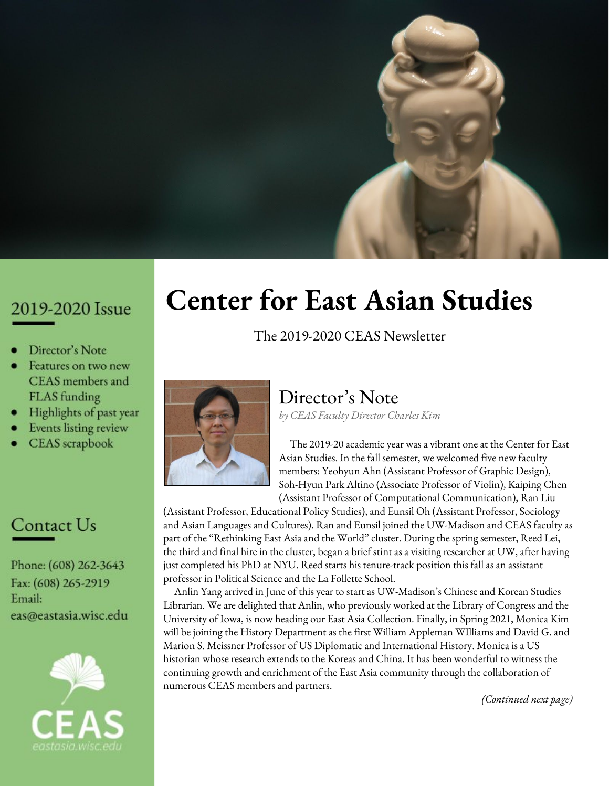(population 258,000) is a bit smaller than Chengdu (population 10 million), both are provincial/state capitals. Reed and Anlin said the two cities also share a good reputation for affordability, high quality of life, strong growth trends, and a colorful ambiance.

## COVID complications

**Anlin** said she felt like a true Wisconsin resident when she received her license plate in the mail, after arriving in Madison from Iowa City.

"I have visited my office only once," she said. "It was the last day of July. I volunteered to work on-site for shelving. I got my office key from my colleagues and



drank a bottle of water at my office after a whole day of physical work. When I sat on the office desk on that Friday afternoon, I was planning how to decorate my office to make it welcoming for our patrons. Love that moment!"

COVID-19 brought new challenges to her and her colleagues, especially with increased requests for Interlibrary Loan (ILL) at a moment when shipping was not available.

"I needed to find the table of contents online. The users picked the specific range of pages for us to request the scanning. After that, the ILL in quarantine was successful. The whole process might take a few hours or days compared with a few minutes in regular times. The good part is we've done very well so far."

**Reed** left New York City for Madison in the midst of a pandemic.

"COVID-19 fundamentally changes how we work on our research," he said. "To me, it means that I will have to put off some field visits or have to find a way to interview people virtually (which sometimes may not be feasible since political questions are sensitive in nature and may need to be in-person meetings). However, COVID-19 does allow me to put more time on research that uses only observational data and draws on information sufficiently available on the Internet and in books. Moreover, to my surprise, I actually spent more time talking to colleagues about research. Before COVID-19, none of us seriously

tried virtual meeting apps or software. With Zoom, I have managed to catch up with friends from many places. So, in general, I would not say that I have become less productive. COVID-19 only means that I have worked differently."

Both Anlin and Reed commented on Lake Mendota, where they hope to spend more time once the campus opens up again, and on the friendliness of Madisonians.

"I never saw people say 'hi' and 'goodbye' to bus drivers in New York," remarked Reed.

"Our library staff is warm and considerate," said Anlin, "One of my colleagues in our International Area Studies (IAS) group asked her son to send the ergonomic chair I requested to my home. They did help me a lot. I deeply appreciate them."

### Ambitious plans for the new year

**Anlin** has three goals in the upcoming fall semester. "Firstly, I am willing to provide library support for our Center for East Asian Studies (CEAS) instructors," she said. "I am learning with my colleagues together to offer library service for our instructors and students in a virtual environment. The other goal for me is developing our Chinese and Korean resources. I have added some free access due to COVID-19 on the [Chinese](https://researchguides.library.wisc.edu/china) and [Korean](https://researchguides.library.wisc.edu/korea) LibGuides. I am planning to get more free trials for our CEAS staff and students. I will let you know when the trails are ready to use. Last but not the least, I will try to become familiar with our CEAS community. I would like to meet and know everyone in CEAS."

**Reed** will teach two undergraduate-level classes this fall, "Introduction to Chinese Politics" and "Analytic Tools for Public Policy." In the spring, he will offer "Dealing with China," also at the undergraduate level, and a graduate seminar, "Authoritarian Politics."

"All of these are new courses since the upcoming academic year will be my first to teach independently," Reed noted.

He will also be working on the following five research programs:

> The common wisdom is that democratic countries are more likely to adopt environmentally-friendly policies that promote cleaner energy, improve air quality, and reduce pollution. As an authoritarian country, why (and how) does China do a relatively good job of developing its renewable energy,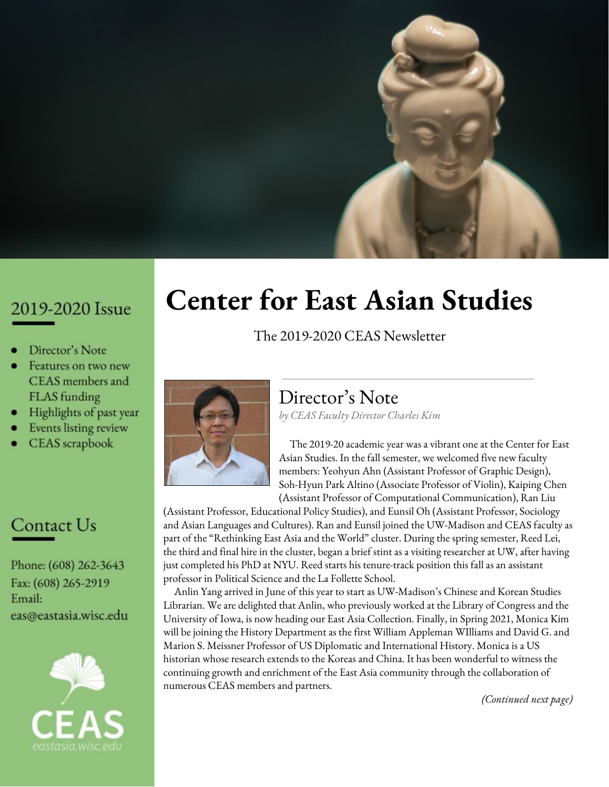improving air quality (since 2013), and reducing industrial waste?

While many people assume China can get things done easily because of its top-down hierarchical structure, we know relatively little about the disputes within the Chinese government. It would be naive to assume that different ministries in China do not have disagreements with each other. With several coauthors, we intend to measure Chinese ministries' stance on different policy issues and analyze how the Chinese Communist Party succeeds in (or fails at) coordinating the different interests diffused in its gigantic governmental structure.

The Chinese government has strong incentives to make laws. This seems counter-intuitive: Why would a ministry go through the lengthy process of making laws in the People's Congress (at either the national or provincial level) to limit its own power? How does the rule of law (or as some law professors would prefer, rule by law) benefit the government in China?

A recent reform in China centralized the power to finance and appoint judges in local courts from

local governments (prefecture or county) into the hands of provincial governments. My coauthors and I plan to study the effectiveness of this centralization reform on local governments' ability to protect their local firms' interests by intervening in the judicial trials in local courts.

Diplomats matter in foreign relations. However, we see great variation in what type of people serve as ambassadors. My coauthors and I will employ text data analysis and machine learning methods to identify the different diplomatic styles of Chinese ambassadors and test if these different diplomatic styles have a substantive effect on the bilateral relationship with China. In a companion research paper, my coauthor and I will perform similar analysis on American ambassadors.

In addition to his research and teaching, Reed said he looks forward to meeting new students, including those majoring/minoring in East Asian Studies.

"I want to know how I can be of help to those students who are interested in China, especially during this difficult time when the White House is not very friendly to China."

*Join us in welcoming Reed and Anlin to Madison!*

## 10 FLAS grants awarded for academic year 2020-21

Ten Badgers will be studying East Asian languages this academic year with funding from the Foreign Language and Area Studies (FLAS) Fellowships program, administered by the U.S. Department of Education.

FLAS grants assist students in acquiring foreign language and area studies competencies. The Center for East Asian Studies (CEAS) awards grants each spring for the study of Chinese, Japanese, Korean and Tibetan, with separate competitions for summer language intensive and academic year studies.

The competition for Summer 2021 and Academic Year 2021-22 will take place in the winter, with an anticipated application deadline in mid February.

FLAS recipients are listed on the CEAS website at: https://eastasia.wisc.edu/flas-recipients/

CEAS has so far made the following FLAS awards for the current five-year grant cycle:

**Academic Year 2018-19**: Six awards, for the study of Chinese (3), Japanese (2) and Korean (1).

**Summer 2019**: Six awards in Chinese (3), Japanese (2) and Korean (1).

**Academic Year 2019-20**: Eight awards in Chinese (4), Japanese (2) and Tibetan (2).

**Summer 2020**: Seven awards in Chinese (2), Japanese (2) and Korean (3).

**Academic Year 2020-21:** 10 awards in Chinese (6), Japanese (2), Korean (1), and Tibetan (1).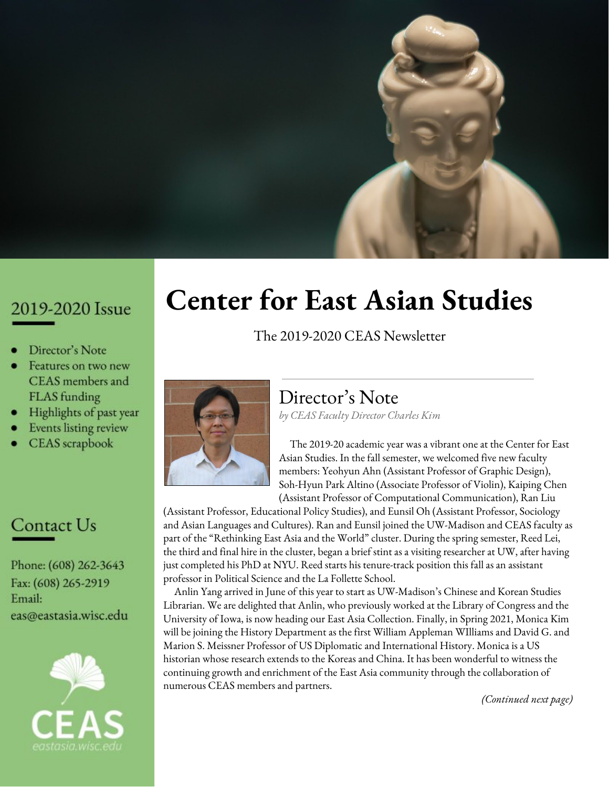# 2019-2020 Highlights

#### **Higher Education Workshop Collaboration with Peking University Enters Fifth Year**

**June 2019:** The higher education workshop is an annual series that alternates between Beijing and Madison, and is devoted to studying pressing issues in post-secondary education for China and the U.S. Participating in the 2019 event, which received support from the Andrew W. Mellon Foundation, were faculty members from multiple universities across China, along with educational leaders from the U.S. and Europe. The theme of the May conference was "Rethinking Regional-International Inquiry in the 21st Century," and included panels on the legacy of area studies, their political dimensions, and organizational structures. Peking University's Institute of Area Studies and UW-Madison's CEAS were co-sponsors.

#### **CEAS Associate Director published in** *s U*

**June 2019:** David Fields, Associate Director of CEAS, published an op-ed titled "How Korea was divided and why the aftershocks still haunt us today" in the "Made by History" section of the *Washington Post*. Read the op-ed [here.](https://www.washingtonpost.com/outlook/2019/05/31/how-korea-was-divided-why-aftershocks-still-haunt-us-today/)

#### **Panel Discussion Highlights Tariffs, Trade Tensions, and Wisconsin Ag**

**July 2019:** The first event of the 2019-2020 East Asia Now series took place on June 18 in Wausau, WI, titled "U.S.-China Trade Tensions: What's at Stake for Central Wisconsin's Agriculture?" The panel discussed a variety of topics, including how trade tensions and tariffs affect relationships, profits, and the future of Wisconsin agriculture. Watch the event [recording](https://www.youtube.com/watch?v=-vkDNMfcJKA).

#### **CEAS Associate Director on Wisconsin Public Radio's Central Time**

**July 2019:** David Fields related the story of Syngman Rhee, South Korea's first president, and how his decades-long campaign for a free Korea helped pave the way for creating the two Koreas. Listen to the [podcast.](https://www.wpr.org/syngman-rhee-and-division-korea)

#### **Chancellor Blank on the UW's Relationship with China**

**August 2019:** In late May, Chancellor Rebecca Blank traveled to China to meet alumni, welcome incoming Chinese students and their families to UW, attend conferences organized by UW faculty at Chinese universities, meet with higher education leaders, and conduct industry-partnership conversations. This trip, along with UW's 100+ year-long history with China, is explored in a **[blog](https://chancellor.wisc.edu/blog/uws-relationship-with-china/) post**.

#### **East Asian Art History Projects Wins Prize**

**September 2019:** Keqinhua Zhu, a recent UW-Madison graduate (B.S '19, Art History and Conservation Biology), was awarded the \$500 Iwanter Honorable Mention Prize from the Center for the Humanities for her senior honors thesis, "From Global to Local: A Case Study of the Macartney Tapestry in the Reign of Emperor Qianlong, 1735–1796."

#### **Panel Discussion Highlights Trade issues in Ag**

**October 2019:** On October 17, CEAS held its second East Asia Now event in Platteville, WI, titled "Struggles in Wisconsin Farm Country: The Trade War, Weather, and Workforce Issues." Watch the event [recording.](https://www.youtube.com/watch?v=qCf2Mh2-nko&feature=emb_logo)

#### **UW Summer Launch in Japan: Supernatural and Surreal**

**December 2019:** UW-Madison Study Abroad's "Summer Launch!" announced a new engaging experience in Japan designed especially for incoming UW-Madison first-year students and led by Japanese Literature Professor Charo D'Etcheverry. The Covid-19 pandemic forced the postponement of this program until summer 2021.

**CEAS Faculty Member on Wisconsin Public Radio February 2020:** Ian Coxhead, Professor of Agricultural and Applied Economics, discussed the economic impact of the coronavirus on Wisconsin Public Radio. Listen to the [podcast](https://bit.ly/38xVUXO).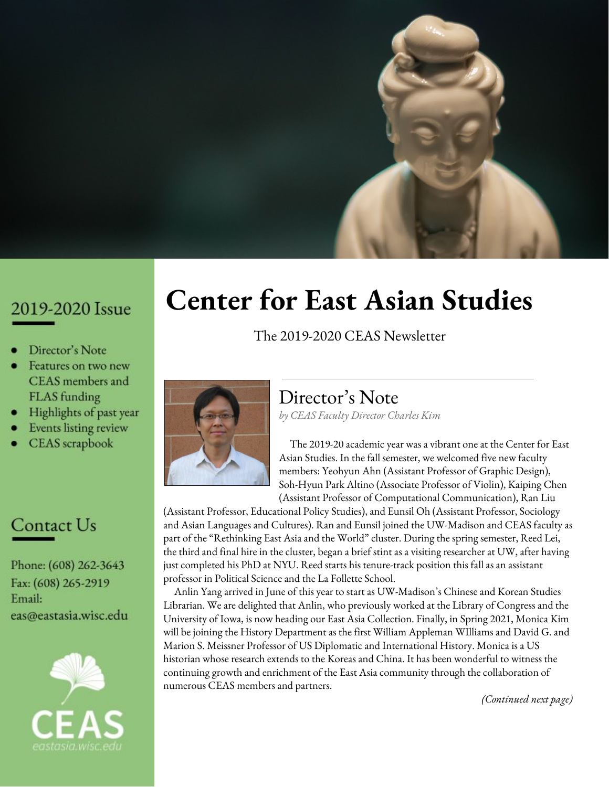#### **WISC-TV on Coronavirus Crisis Panel Discussion**

**March 2020:** Read about the cutting-edge work UW-Madison researchers are doing to find a cure and vaccine for COVID-19 [here](https://www.channel3000.com/the-work-were-doing-is-cutting-edge-what-the-fight-against-coronavirus-looks-like-in-madison/).

#### **CEAS 2020 Undergraduate Paper Winners**

**May 2020:** The Center for East Asian Studies was one of eight area studies centers participating in the second annual Area and International Studies Undergraduate Paper Award. The 2020 winners for the CEAS competition are: Lena Simon, Samuel Brown, Beth Allen, Lydia Chen, Anitha Quintin, and Vivienne Woolridge.

#### **First Virtual East Asia Now Event**

**June 2020:** An online East Asia Now event was held on June 11, titled "COVID-19, Trade Tensions, Turbulent Markets - Trouble for Wisconsin Ag." This lunchtime panel discussed how the trade war with China and COVID-19 are affecting Wisconsin agriculture. Watch the event [recording](https://www.youtube.com/watch?v=1ZvA6NIwtl8&feature=emb_logo).

#### **New Federal Proposals Would Lead to Sharp Declines in Chinese Students Coming to Wisconsin**

**June 2020:** CEAS faculty Judd Kinzley discussed the impact of the new federal proposals on Chinese students in an article for *The Cap Times.* Read the [article](https://madison.com/ct/opinion/column/judd-kinzley-new-federal-proposals-would-lead-to-sharp-declines-in-chinese-students-coming-to/article_7cf652da-633f-5743-82f3-ed1092aba01e.html?utm_medium=social&utm_source=facebook&utm_campaign=user-share&fbclid=IwAR3v4JJS4I6YdtVEdMWNIEP2VMC7B6PN-P81QDkWnq3sSFpXJswcBLpmxto).

#### **Haiku Hour on Wisconsin Public Radio**

**June 2020:** CEAS faculty Adam Kern was on WPR on June 28 to discuss the shortest poetic form in the world, haiku. Listen to the **[podcast](https://www.wpr.org/shows/haiku-hour-0)**.

#### **East Asia in the Upper Midwest: The Korean War**

**June-July 2020:** This new CEAS teaching initiative, held in a virtual format due to Covid-19, provided k-12 educators with materials, resources and support to integrate lessons about the Korean War into their classrooms.

#### **Relaunch of Podcast**

**July 2020:** The Center for East Asian Studies relaunched the TransAsia and the World Podcast under the name East Asia Now. It is available on SoundCloud, iTunes, and Google Podcasts. Listen to the available [episodes](https://eastasia.wisc.edu/podcast/).

# Review of 2019-2020 Events

CEAS hosted or co-hosted 37 events during the 2019-2020 academic year, which were attended by approximately 1,600 people. Unfortunately the Covid-19 pandemic forced the cancellation or postponement of all CEAS in-person events after March 2020. Below are some of the highlights from our 2019-2020 schedule.

#### **June 18**

**East Asia Now** series: "China Trade Tensions: Impact on Central Wisconsin Ag." Panelists included **Bradley Pfaff**, Wisconsin Department of Agriculture, Trade and Consumer Protection, **Dr. Ian Coxhead**, UW-Madison Department of Agricultural and Applied Economics, **Will Hsu**, Hsu's Ginseng, and **Don Radtke**, Wisconsin Farm Bureau U.S. The Moderator was **Pam Jahnke**, Wisconsin Farm Radio Report.

#### **September 17**

**#WAYWO (What are you working on)** series: Fall 2019. Panelists included **Charo D'Etcheverry**, Professor of Japanese Literature, **Galen Poor**, PhD candidate in the Department of History, and **Yoriko Dixon**, Japanese Studies Librarian.

#### **October 1**

"The Significance of 1940." Guest speaker was **Dr. Chun Lin**, Professor of Comparative Politics in the London School of Economics and Political Science. Professor Lin discussed how the year 1949, due to the historical victory of the Chinese communist revolution, stands as a normative gauge with which to measure subsequent developments in China and its global position.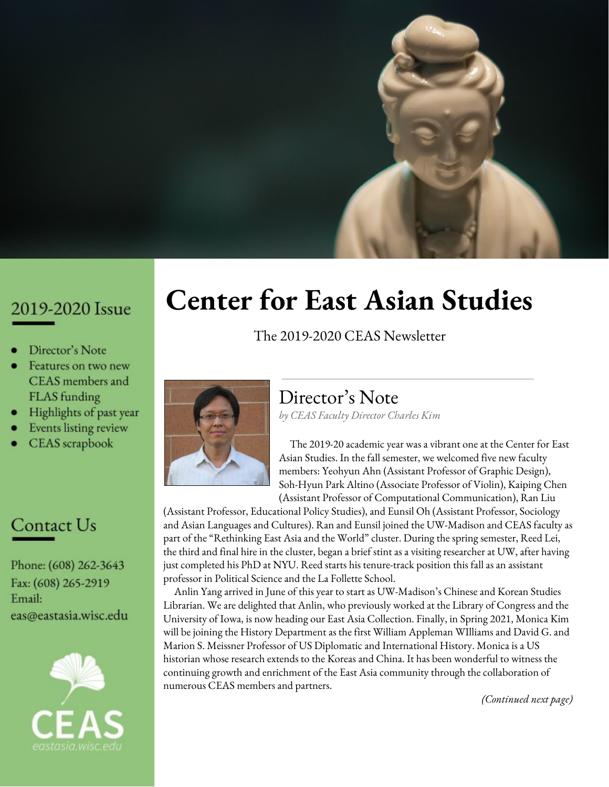#### **October 3**

Documentary showing of *Shusenjo: The Main Battleground of the Comfort Women Issue*. Event featured a Q&A session with Director **Miki Dezaki**.

#### **October 15**

"A German-Jewish 'University' in China During World War II." Lecture presented by **Dr. Weija Li**, Assistant Professor of German and the director of the Global Higher Education Master's Program at the UW-Madison. Dr. Li illustrated how the European Jewish refugees sustained their educational aspirations and efforts by creating various educational institutions in the war-torn Chinese city.

#### **October 15**

**Chinese Politics and Policy** series: "Frightened Mandarins: The Adverse Effects of Fighting Corruption on Local Bureaucracy." Guest speaker was **Erik (Haixiao) Wang**, Ph.D. candidate in the Department of Politics at Princeton University. China's anti-corruption campaign served as an example to revisit the classic question of how to best monitor and discipline the bureaucracy.

#### **October 17**

**East Asia Now** series: "Struggles in Wisconsin Farm Country: the trade war, weather, and workforce issues." Opening remarks made by **Dennis J. Shields**, Chancellor, UW-Platteville. Panelists included **Brad Pfaff**, Secretary of Wisconsin Department of Agriculture, Trade and Consumer Protection, **Rep. Travis Tranel**, Representative, Wisconsin 49th District, **Paul Mitchell**, Director, Renk Agribusiness Institute, and **Anna Landmark,** award-winning cheesemaker and owner of Landmark Creamery. The moderator was **Pam Jahnke**, Wisconsin Farm Radio Report.

#### **October 17**

**Chinese Politics and Policy** series: "The Political Pollution Wave." Guest speaker was **Dr. Victoria** (**Shiran) Shen**, Assistant Professor of Environmental Politics at the University of Virginia. This presentation explores Dr. Shen's dissertation-based book project that develops a theory to explain a "political regulation wave," where the tenure spell of top local leaders shapes the pattern in environmental regulation.

#### **October 22**

**Chinese Politics and Policy** series: "Private Returns to Public Investment: Political Career Incentives and Infrastructure Investment in China." Guest speaker was **Reed (Zhenhuan) Lei**, Ph.D. candidate of political science in the Department of Politics at New York University. By proposing a political exchange model, Reed Zhenhuan demonstrated a fundamental synergy between the incentives of short-term mayors and of provincial leaders that is realized as a result of subway projects.

#### **October 25**

"Where Taiwan Stands." Lecture presented by **Dr. Edward Friedman**, Professor Emeritus of the Department of Political Science, UW-Madison. In this talk, Professor Friedman discussed U.S. policy towards Taiwan, cross-strait relations, current Hong Kong protests, as well as Taiwan's democracy and upcoming elections.

#### **October 29**

**Chinese Politics and Policy** series: "Environmental Activism in Authoritarian Regimes: Comparing China and Russia." Guest speaker was **Dr. Elizabeth Plantan**, China Public Policy Postdoctoral Fellow at the Harvard Kennedy School's Ash Center. This presentation offered a theoretical framework to explain divergent regime responses to civil society in China, Russia, and other authoritarian regimes.

#### **November 5**

**Chinese Politics and Policy** series: "Countering Capture: Elite Networks and Government Responsiveness in China's Land Market Reform." Guest Speaker was **Dr. Junyan Jiang**, Assistant Professor at the Department of Government and Public Administration, the Chinese University of Hong Kong. Dr. Jiang considered the configurations of elite networks as a key mediating factor, arguing that access to external support networks helps improve politicians' responsiveness to ordinary citizens by reducing their dependence on vested interests, and test this claim using China's land market reform as a case.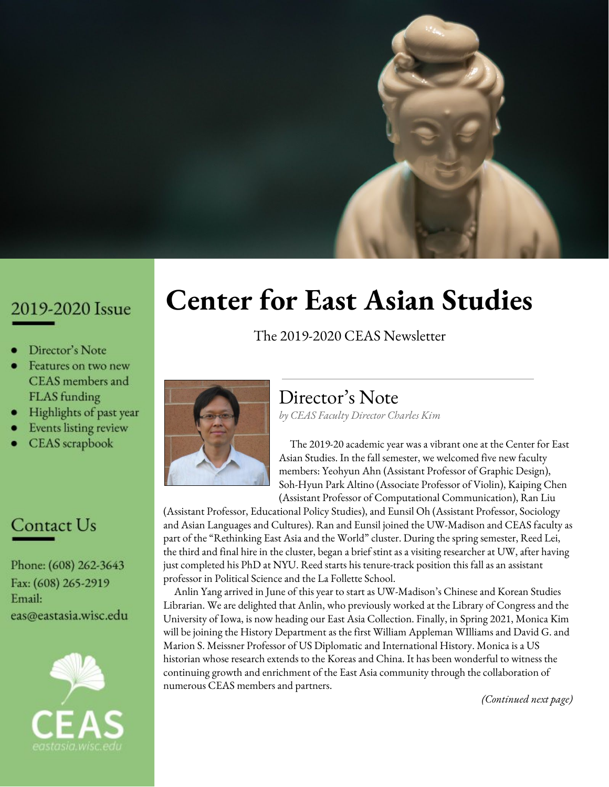#### **November 7**

**Badger Cafe** series: "The Unexpected Origins of the Division of Korea." Lecture presented by **Dr. David Fields**, CEAS Associate Director. Dr. Fields spoke about the origins of the division of Korea and how this history shapes events on the Korean peninsula today.

#### **November 16**

"Tzu Chi: Serving with Compassion." Presented by representatives from the Midwest Region of the Buddhist Tzu Chi Foundation, who shared the history of Tzu Chi, its development in the United States, international disaster relief, environmental protection efforts, and community service efforts across university campuses.

#### **November 19**

**#ProfPrac (CEAS Professional Practice)** series: "How to be an Expert." Lecture by **Veronica Rueckert** and **Käri Knutson**, national media relations specialists for UW-Madison. Discussed how CEAS faculty and graduate students can use their expertise in public.

#### **November 20**

"China Tomorrow: Democracy or Dictatorship." Guest speaker **Dr. Jean-Pierre Cabestan**, Professor at Hong Kong Baptist University, discussed the continuing strength of China's one-party system. The East Asia Now Podcast released an episode featuring a recording of this event.

#### **November 21**

"How Japan Handled the 'Trump Shock' and learned to Live with it: Understanding Japan-US Relations from a Japanese Perspective." Guest speaker was **Toshihiro Nakayama**, Professor of American Politics and Foreign Policy at the Faculty of Policy Management at Keio University. This talk was about the US-Japan security alliance. The East Asia Now Podcast released an episode featuring a recording of this event.

#### **December 2**

**East Asia Now** series: "Hong Kong in Turmoil." Panelists included **Dr. Jenny Chan**, Assistant Professor of Sociology at Hong Kong Polytechnic University, **Robert J. Kaiser**, Professor of Geography at the UW-Madison, and **Jack Ji**, UW-Madison Law Student.

#### **December 3**

"Dying for an iPhone: Apple, Foxconn and the Lives of China's Workers." Guest speaker was **Dr. Jenny Chan**, Assistant Professor of Sociology at the Hong Kong Polytechnic University. This lecture highlighted working conditions in factories producing some of the world's most popular consumer electronics.

#### **December 4**

"Internships and Vocational Skills Training in China." Guest speaker was **Jenny Chan**, Assistant Professor of Sociology at the Hong Kong Polytechnic University. This presentation introduced the internship experiences of Chinese teenage students in China, which has the world's largest vocational education system.

#### **December 4**

"After 25 Years of Humanitarian Aid, Why are North Koreans Still Hungry?" Guest speaker was **Dr. Edward P. Reed**, Adjunct Professor at the Asian Institute of Management in Manila. This lecture explored food insecurity in North Korea (DPRK), which is one of the world's longest running humanitarian challenges.

#### **December 6**

**Wisconsin Alumni Lecture** series: "How Korea Was Divided and Why It Matters?" Lecture presented by **Dr. David Fields**, CEAS Associate Director. This lecture examined the division of Korea, particularly how it happened in a much longer sequence of events that has its origin in the 19th century — in an obscure treaty — and in Americans' belief in their own exceptionalism.

#### **December 9-13**

**Trends in East Asian Studies Librarianship** series. Guest speakers included **Ying Qin**, **Shuyi Liu**, **Anlin Yang**, and **Tang Li**.

#### **January 24th**

**East Asia Now** series: "U.S. - China Trade Discussion." Panelists included **Robert Wachsmut**, VP Chippewa Valley Bean; **Will Hsu**, Hsu's Ginseng; **Randy Romanski**, Interim Secretary of the Wisconsin Department of Agriculture, Trade, and Consumer